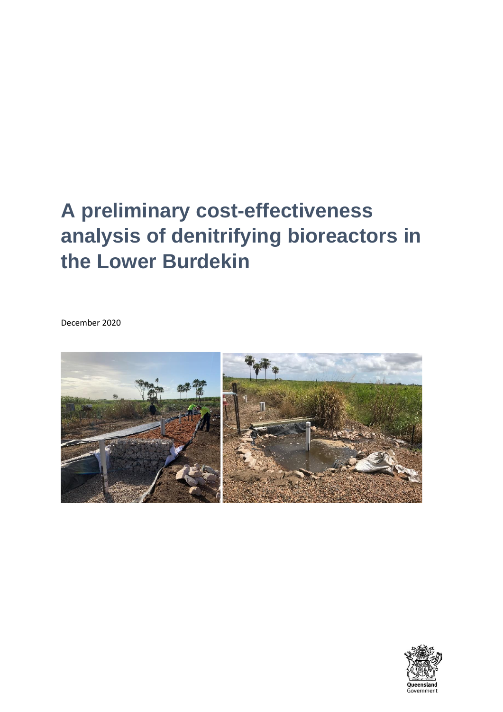# **A preliminary cost-effectiveness analysis of denitrifying bioreactors in the Lower Burdekin**

December 2020



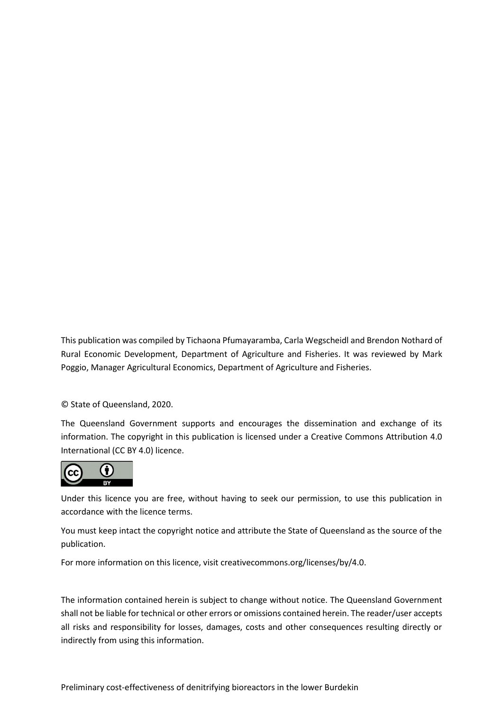This publication was compiled by Tichaona Pfumayaramba, Carla Wegscheidl and Brendon Nothard of Rural Economic Development, Department of Agriculture and Fisheries. It was reviewed by Mark Poggio, Manager Agricultural Economics, Department of Agriculture and Fisheries.

© State of Queensland, 2020.

The Queensland Government supports and encourages the dissemination and exchange of its information. The copyright in this publication is licensed under a Creative Commons Attribution 4.0 International (CC BY 4.0) licence.



Under this licence you are free, without having to seek our permission, to use this publication in accordance with the licence terms.

You must keep intact the copyright notice and attribute the State of Queensland as the source of the publication.

For more information on this licence, visit creativecommons.org/licenses/by/4.0.

The information contained herein is subject to change without notice. The Queensland Government shall not be liable for technical or other errors or omissions contained herein. The reader/user accepts all risks and responsibility for losses, damages, costs and other consequences resulting directly or indirectly from using this information.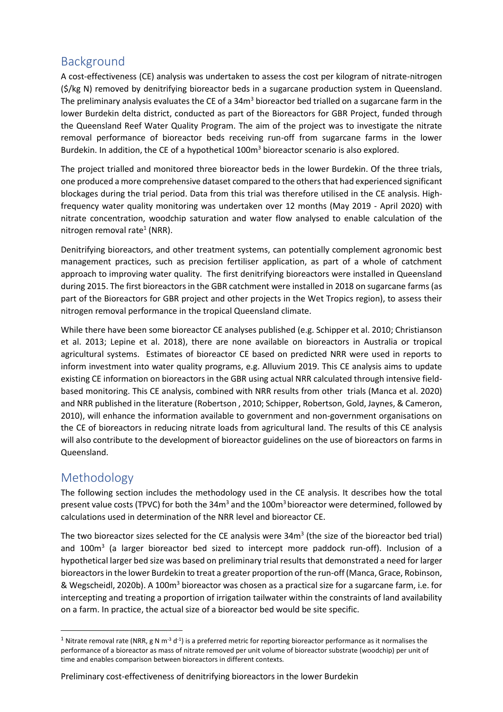# Background

A cost-effectiveness (CE) analysis was undertaken to assess the cost per kilogram of nitrate-nitrogen (\$/kg N) removed by denitrifying bioreactor beds in a sugarcane production system in Queensland. The preliminary analysis evaluates the CE of a  $34m<sup>3</sup>$  bioreactor bed trialled on a sugarcane farm in the lower Burdekin delta district, conducted as part of the Bioreactors for GBR Project, funded through the Queensland Reef Water Quality Program. The aim of the project was to investigate the nitrate removal performance of bioreactor beds receiving run-off from sugarcane farms in the lower Burdekin. In addition, the CE of a hypothetical 100m<sup>3</sup> bioreactor scenario is also explored.

The project trialled and monitored three bioreactor beds in the lower Burdekin. Of the three trials, one produced a more comprehensive dataset compared to the othersthat had experienced significant blockages during the trial period. Data from this trial was therefore utilised in the CE analysis. Highfrequency water quality monitoring was undertaken over 12 months (May 2019 - April 2020) with nitrate concentration, woodchip saturation and water flow analysed to enable calculation of the nitrogen removal rate<sup>1</sup> (NRR).

Denitrifying bioreactors, and other treatment systems, can potentially complement agronomic best management practices, such as precision fertiliser application, as part of a whole of catchment approach to improving water quality. The first denitrifying bioreactors were installed in Queensland during 2015. The first bioreactors in the GBR catchment were installed in 2018 on sugarcane farms (as part of the Bioreactors for GBR project and other projects in the Wet Tropics region), to assess their nitrogen removal performance in the tropical Queensland climate.

While there have been some bioreactor CE analyses published (e.g. Schipper et al. 2010; Christianson et al. 2013; Lepine et al. 2018), there are none available on bioreactors in Australia or tropical agricultural systems. Estimates of bioreactor CE based on predicted NRR were used in reports to inform investment into water quality programs, e.g. Alluvium 2019. This CE analysis aims to update existing CE information on bioreactors in the GBR using actual NRR calculated through intensive fieldbased monitoring. This CE analysis, combined with NRR results from other trials (Manca et al. 2020) and NRR published in the literature (Robertson , 2010; Schipper, Robertson, Gold, Jaynes, & Cameron, 2010), will enhance the information available to government and non-government organisations on the CE of bioreactors in reducing nitrate loads from agricultural land. The results of this CE analysis will also contribute to the development of bioreactor guidelines on the use of bioreactors on farms in Queensland.

# Methodology

The following section includes the methodology used in the CE analysis. It describes how the total present value costs (TPVC) for both the  $34m<sup>3</sup>$  and the 100 $m<sup>3</sup>$  bioreactor were determined, followed by calculations used in determination of the NRR level and bioreactor CE.

The two bioreactor sizes selected for the CE analysis were 34 $m<sup>3</sup>$  (the size of the bioreactor bed trial) and 100m<sup>3</sup> (a larger bioreactor bed sized to intercept more paddock run-off). Inclusion of a hypothetical larger bed size was based on preliminary trial results that demonstrated a need for larger bioreactors in the lower Burdekin to treat a greater proportion of the run-off (Manca, Grace, Robinson, & Wegscheidl, 2020b). A 100m<sup>3</sup> bioreactor was chosen as a practical size for a sugarcane farm, i.e. for intercepting and treating a proportion of irrigation tailwater within the constraints of land availability on a farm. In practice, the actual size of a bioreactor bed would be site specific.

#### Preliminary cost-effectiveness of denitrifying bioreactors in the lower Burdekin

<sup>&</sup>lt;sup>1</sup> Nitrate removal rate (NRR, g N m<sup>-3</sup> d<sup>-1</sup>) is a preferred metric for reporting bioreactor performance as it normalises the performance of a bioreactor as mass of nitrate removed per unit volume of bioreactor substrate (woodchip) per unit of time and enables comparison between bioreactors in different contexts.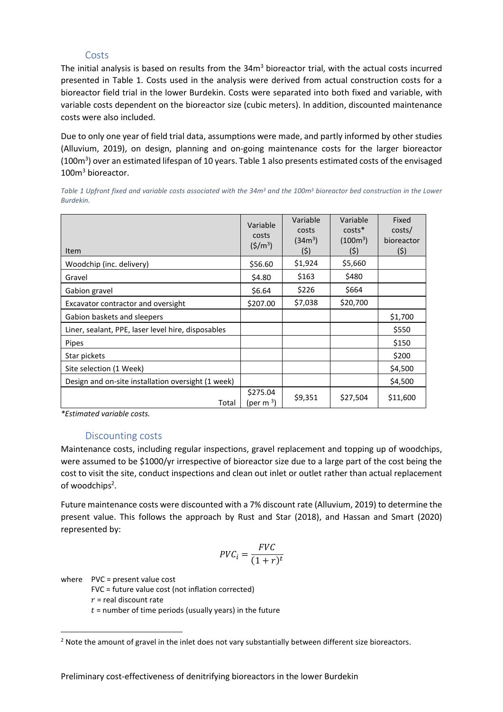#### Costs

The initial analysis is based on results from the  $34m<sup>3</sup>$  bioreactor trial, with the actual costs incurred presented in Table 1. Costs used in the analysis were derived from actual construction costs for a bioreactor field trial in the lower Burdekin. Costs were separated into both fixed and variable, with variable costs dependent on the bioreactor size (cubic meters). In addition, discounted maintenance costs were also included.

Due to only one year of field trial data, assumptions were made, and partly informed by other studies (Alluvium, 2019), on design, planning and on-going maintenance costs for the larger bioreactor (100m<sup>3</sup>) over an estimated lifespan of 10 years. Table 1 also presents estimated costs of the envisaged 100m<sup>3</sup> bioreactor.

| Table 1 Upfront fixed and variable costs associated with the 34m <sup>3</sup> and the 100m <sup>3</sup> bioreactor bed construction in the Lower |  |  |  |  |  |
|--------------------------------------------------------------------------------------------------------------------------------------------------|--|--|--|--|--|
| Burdekin.                                                                                                                                        |  |  |  |  |  |

| <b>Item</b>                                        | Variable<br>costs<br>$(5/m^3)$    | Variable<br>costs<br>(34m <sup>3</sup> )<br>(5) | Variable<br>$costs*$<br>(100 <sup>3</sup> )<br>(5) | Fixed<br>costs/<br>bioreactor<br>(\$) |
|----------------------------------------------------|-----------------------------------|-------------------------------------------------|----------------------------------------------------|---------------------------------------|
| Woodchip (inc. delivery)                           | \$56.60                           | \$1,924                                         | \$5,660                                            |                                       |
| Gravel                                             | \$4.80                            | \$163                                           | \$480                                              |                                       |
| Gabion gravel                                      | \$6.64                            | \$226                                           | \$664                                              |                                       |
| Excavator contractor and oversight                 | \$207.00                          | \$7,038                                         | \$20,700                                           |                                       |
| Gabion baskets and sleepers                        |                                   |                                                 |                                                    | \$1,700                               |
| Liner, sealant, PPE, laser level hire, disposables |                                   |                                                 |                                                    | \$550                                 |
| Pipes                                              |                                   |                                                 |                                                    | \$150                                 |
| Star pickets                                       |                                   |                                                 |                                                    | \$200                                 |
| Site selection (1 Week)                            |                                   |                                                 |                                                    | \$4,500                               |
| Design and on-site installation oversight (1 week) |                                   |                                                 |                                                    | \$4,500                               |
| Total                                              | \$275.04<br>(per m <sup>3</sup> ) | \$9,351                                         | \$27,504                                           | \$11,600                              |

*\*Estimated variable costs.*

#### Discounting costs

Maintenance costs, including regular inspections, gravel replacement and topping up of woodchips, were assumed to be \$1000/yr irrespective of bioreactor size due to a large part of the cost being the cost to visit the site, conduct inspections and clean out inlet or outlet rather than actual replacement of woodchips<sup>2</sup>.

Future maintenance costs were discounted with a 7% discount rate (Alluvium, 2019) to determine the present value. This follows the approach by Rust and Star (2018), and Hassan and Smart (2020) represented by:

$$
PVC_i = \frac{FVC}{(1+r)^t}
$$

where PVC = present value cost

FVC = future value cost (not inflation corrected)

 $r$  = real discount rate

 $t =$  number of time periods (usually years) in the future

<sup>&</sup>lt;sup>2</sup> Note the amount of gravel in the inlet does not vary substantially between different size bioreactors.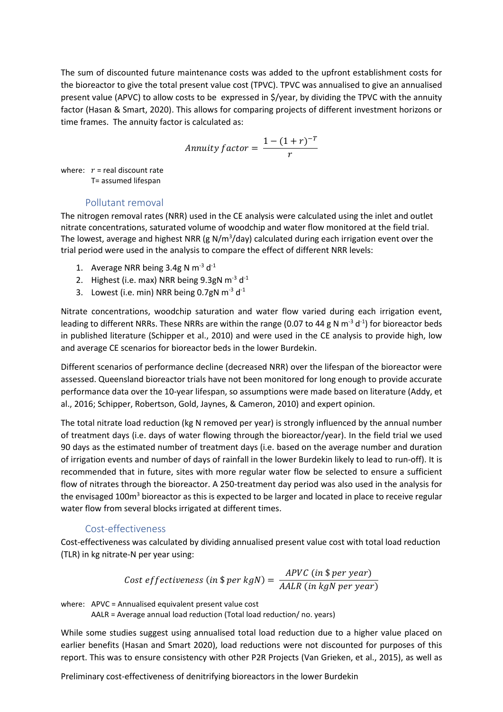The sum of discounted future maintenance costs was added to the upfront establishment costs for the bioreactor to give the total present value cost (TPVC). TPVC was annualised to give an annualised present value (APVC) to allow costs to be expressed in \$/year, by dividing the TPVC with the annuity factor (Hasan & Smart, 2020). This allows for comparing projects of different investment horizons or time frames. The annuity factor is calculated as:

$$
Annuity factor = \frac{1 - (1 + r)^{-T}}{r}
$$

where:  $r =$  real discount rate T= assumed lifespan

#### Pollutant removal

The nitrogen removal rates (NRR) used in the CE analysis were calculated using the inlet and outlet nitrate concentrations, saturated volume of woodchip and water flow monitored at the field trial. The lowest, average and highest NRR (g N/m<sup>3</sup>/day) calculated during each irrigation event over the trial period were used in the analysis to compare the effect of different NRR levels:

- 1. Average NRR being  $3.4g$  N m<sup>-3</sup> d<sup>-1</sup>
- 2. Highest (i.e. max) NRR being  $9.3$ gN m<sup>-3</sup> d<sup>-1</sup>
- 3. Lowest (i.e. min) NRR being 0.7gN  $\text{m}$ <sup>-3</sup> d<sup>-1</sup>

Nitrate concentrations, woodchip saturation and water flow varied during each irrigation event, leading to different NRRs. These NRRs are within the range (0.07 to 44 g N  $m^{-3}$  d<sup>-1</sup>) for bioreactor beds in published literature (Schipper et al., 2010) and were used in the CE analysis to provide high, low and average CE scenarios for bioreactor beds in the lower Burdekin.

Different scenarios of performance decline (decreased NRR) over the lifespan of the bioreactor were assessed. Queensland bioreactor trials have not been monitored for long enough to provide accurate performance data over the 10-year lifespan, so assumptions were made based on literature (Addy, et al., 2016; Schipper, Robertson, Gold, Jaynes, & Cameron, 2010) and expert opinion.

The total nitrate load reduction (kg N removed per year) is strongly influenced by the annual number of treatment days (i.e. days of water flowing through the bioreactor/year). In the field trial we used 90 days as the estimated number of treatment days (i.e. based on the average number and duration of irrigation events and number of days of rainfall in the lower Burdekin likely to lead to run-off). It is recommended that in future, sites with more regular water flow be selected to ensure a sufficient flow of nitrates through the bioreactor. A 250-treatment day period was also used in the analysis for the envisaged 100m<sup>3</sup> bioreactor as this is expected to be larger and located in place to receive regular water flow from several blocks irrigated at different times.

#### Cost-effectiveness

Cost-effectiveness was calculated by dividing annualised present value cost with total load reduction (TLR) in kg nitrate-N per year using:

Cost effectiveness (in \$ per kgN) = 
$$
\frac{APVC \text{ (in $ per year)}}{AALR \text{ (in kgN per year)}}
$$

where: APVC = Annualised equivalent present value cost

AALR = Average annual load reduction (Total load reduction/ no. years)

While some studies suggest using annualised total load reduction due to a higher value placed on earlier benefits (Hasan and Smart 2020), load reductions were not discounted for purposes of this report. This was to ensure consistency with other P2R Projects (Van Grieken, et al., 2015), as well as

Preliminary cost-effectiveness of denitrifying bioreactors in the lower Burdekin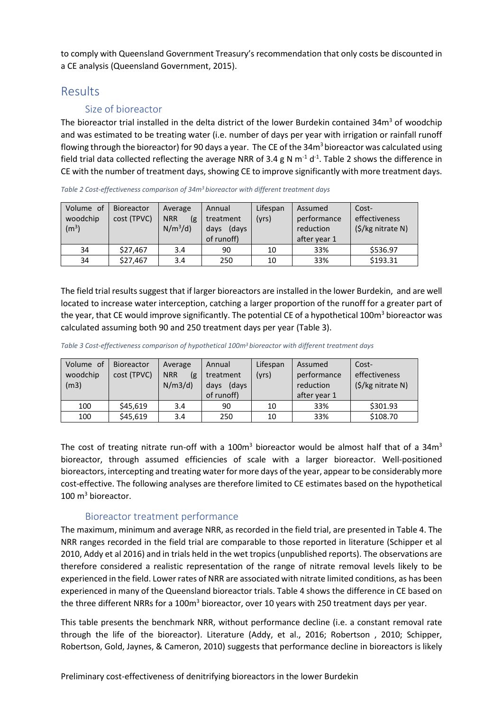to comply with Queensland Government Treasury's recommendation that only costs be discounted in a CE analysis (Queensland Government, 2015).

## Results

### Size of bioreactor

The bioreactor trial installed in the delta district of the lower Burdekin contained  $34m<sup>3</sup>$  of woodchip and was estimated to be treating water (i.e. number of days per year with irrigation or rainfall runoff flowing through the bioreactor) for 90 days a year. The CE of the  $34m<sup>3</sup>$  bioreactor was calculated using field trial data collected reflecting the average NRR of 3.4 g N  $m^{-1}$  d<sup>-1</sup>. Table 2 shows the difference in CE with the number of treatment days, showing CE to improve significantly with more treatment days.

| Table 2 Cost-effectiveness comparison of 34m <sup>3</sup> bioreactor with different treatment days |  |  |
|----------------------------------------------------------------------------------------------------|--|--|
|                                                                                                    |  |  |

| Volume of<br>woodchip<br>(m <sup>3</sup> ) | Bioreactor<br>cost (TPVC) | Average<br><b>NRR</b><br>(g<br>$N/m^3/d$ | Annual<br>treatment<br>(days<br>days<br>of runoff) | Lifespan<br>(yrs) | Assumed<br>performance<br>reduction<br>after year 1 | Cost-<br>effectiveness<br>$(S/kg$ nitrate N) |
|--------------------------------------------|---------------------------|------------------------------------------|----------------------------------------------------|-------------------|-----------------------------------------------------|----------------------------------------------|
| 34                                         | \$27,467                  | 3.4                                      | 90                                                 | 10                | 33%                                                 | \$536.97                                     |
| 34                                         | \$27,467                  | 3.4                                      | 250                                                | 10                | 33%                                                 | \$193.31                                     |

The field trial results suggest that if larger bioreactors are installed in the lower Burdekin, and are well located to increase water interception, catching a larger proportion of the runoff for a greater part of the year, that CE would improve significantly. The potential CE of a hypothetical 100m<sup>3</sup> bioreactor was calculated assuming both 90 and 250 treatment days per year (Table 3).

*Table 3 Cost-effectiveness comparison of hypothetical 100m<sup>3</sup>bioreactor with different treatment days* 

| Volume of<br>woodchip<br>(m3) | <b>Bioreactor</b><br>cost (TPVC) | Average<br><b>NRR</b><br>(g<br>N/m3/d | Annual<br>treatment<br>(days<br>days<br>of runoff) | Lifespan<br>(yrs) | Assumed<br>performance<br>reduction<br>after year 1 | Cost-<br>effectiveness<br>$(S/kg$ nitrate N) |
|-------------------------------|----------------------------------|---------------------------------------|----------------------------------------------------|-------------------|-----------------------------------------------------|----------------------------------------------|
| 100                           | \$45,619                         | 3.4                                   | 90                                                 | 10                | 33%                                                 | \$301.93                                     |
| 100                           | \$45,619                         | 3.4                                   | 250                                                | 10                | 33%                                                 | \$108.70                                     |

The cost of treating nitrate run-off with a  $100<sup>m</sup>$  bioreactor would be almost half that of a 34 $m<sup>3</sup>$ bioreactor, through assumed efficiencies of scale with a larger bioreactor. Well-positioned bioreactors, intercepting and treating water for more days of the year, appear to be considerably more cost-effective. The following analyses are therefore limited to CE estimates based on the hypothetical  $100 \text{ m}^3$  bioreactor.

#### Bioreactor treatment performance

The maximum, minimum and average NRR, as recorded in the field trial, are presented in Table 4. The NRR ranges recorded in the field trial are comparable to those reported in literature (Schipper et al 2010, Addy et al 2016) and in trials held in the wet tropics (unpublished reports). The observations are therefore considered a realistic representation of the range of nitrate removal levels likely to be experienced in the field. Lower rates of NRR are associated with nitrate limited conditions, as has been experienced in many of the Queensland bioreactor trials. Table 4 shows the difference in CE based on the three different NRRs for a 100m<sup>3</sup> bioreactor, over 10 years with 250 treatment days per year.

This table presents the benchmark NRR, without performance decline (i.e. a constant removal rate through the life of the bioreactor). Literature (Addy, et al., 2016; Robertson , 2010; Schipper, Robertson, Gold, Jaynes, & Cameron, 2010) suggests that performance decline in bioreactors is likely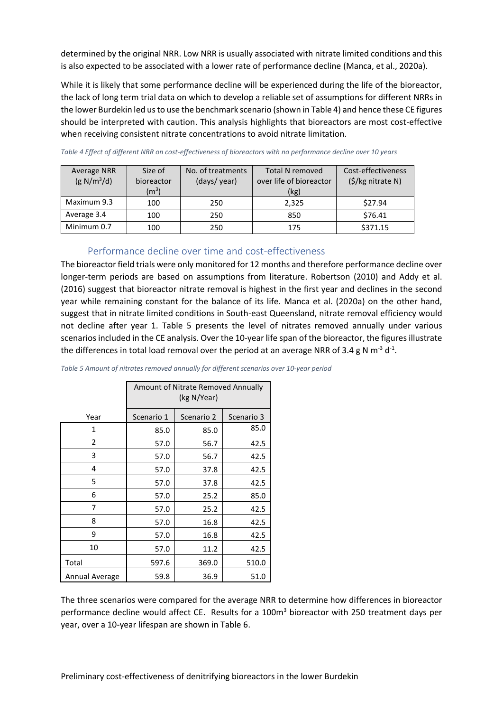determined by the original NRR. Low NRR is usually associated with nitrate limited conditions and this is also expected to be associated with a lower rate of performance decline (Manca, et al., 2020a).

While it is likely that some performance decline will be experienced during the life of the bioreactor, the lack of long term trial data on which to develop a reliable set of assumptions for different NRRs in the lower Burdekin led us to use the benchmark scenario (shown in Table 4) and hence these CE figures should be interpreted with caution. This analysis highlights that bioreactors are most cost-effective when receiving consistent nitrate concentrations to avoid nitrate limitation.

| <b>Average NRR</b><br>(g N/m <sup>3</sup> /d) | Size of<br>bioreactor<br>(m <sup>3</sup> ) | No. of treatments<br>(days/year) | <b>Total N removed</b><br>over life of bioreactor<br>(kg) | Cost-effectiveness<br>(\$/kg nitrate N) |
|-----------------------------------------------|--------------------------------------------|----------------------------------|-----------------------------------------------------------|-----------------------------------------|
| Maximum 9.3                                   | 100                                        | 250                              | 2,325                                                     | \$27.94                                 |
| Average 3.4                                   | 100                                        | 250                              | 850                                                       | \$76.41                                 |
| Minimum 0.7                                   | 100                                        | 250                              | 175                                                       | \$371.15                                |

*Table 4 Effect of different NRR on cost-effectiveness of bioreactors with no performance decline over 10 years*

#### Performance decline over time and cost-effectiveness

The bioreactor field trials were only monitored for 12 months and therefore performance decline over longer-term periods are based on assumptions from literature. Robertson (2010) and Addy et al. (2016) suggest that bioreactor nitrate removal is highest in the first year and declines in the second year while remaining constant for the balance of its life. Manca et al. (2020a) on the other hand, suggest that in nitrate limited conditions in South-east Queensland, nitrate removal efficiency would not decline after year 1. Table 5 presents the level of nitrates removed annually under various scenarios included in the CE analysis. Over the 10-year life span of the bioreactor, the figures illustrate the differences in total load removal over the period at an average NRR of 3.4 g N m<sup>-3</sup> d<sup>-1</sup>.

|                | Amount of Nitrate Removed Annually<br>(kg N/Year) |            |            |  |  |
|----------------|---------------------------------------------------|------------|------------|--|--|
| Year           | Scenario 1                                        | Scenario 2 | Scenario 3 |  |  |
| 1              | 85.0                                              | 85.0       | 85.0       |  |  |
| $\overline{2}$ | 57.0                                              | 56.7       | 42.5       |  |  |
| 3              | 57.0                                              | 56.7       | 42.5       |  |  |
| 4              | 57.0                                              | 37.8       | 42.5       |  |  |
| 5              | 57.0                                              | 37.8       | 42.5       |  |  |
| 6              | 57.0                                              | 25.2       | 85.0       |  |  |
| 7              | 57.0                                              | 25.2       | 42.5       |  |  |
| 8              | 57.0                                              | 16.8       | 42.5       |  |  |
| 9              | 57.0                                              | 16.8       | 42.5       |  |  |
| 10             | 57.0                                              | 11.2       | 42.5       |  |  |
| Total          | 597.6                                             | 369.0      | 510.0      |  |  |
| Annual Average | 59.8                                              | 36.9       | 51.0       |  |  |

*Table 5 Amount of nitrates removed annually for different scenarios over 10-year period*

The three scenarios were compared for the average NRR to determine how differences in bioreactor performance decline would affect CE. Results for a 100m<sup>3</sup> bioreactor with 250 treatment days per year, over a 10-year lifespan are shown in Table 6.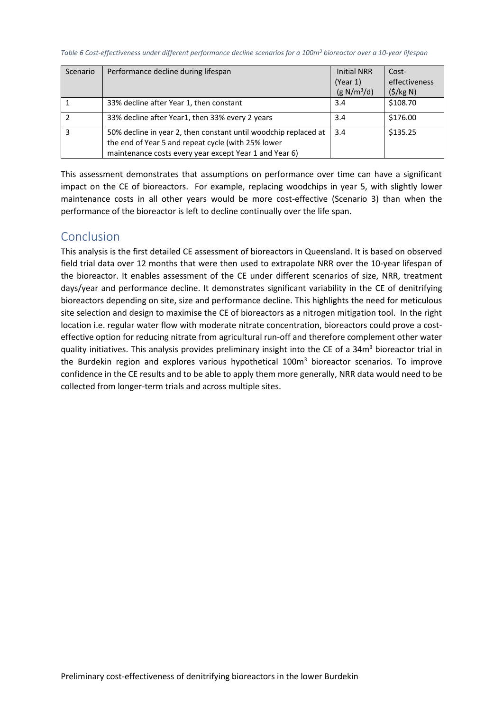*Table 6 Cost-effectiveness under different performance decline scenarios for a 100m<sup>3</sup> bioreactor over a 10-year lifespan*

| Scenario | Performance decline during lifespan                                                                                                                                             | <b>Initial NRR</b><br>(Year 1)<br>(g N/m <sup>3</sup> /d) | Cost-<br>effectiveness<br>(5/kg N) |
|----------|---------------------------------------------------------------------------------------------------------------------------------------------------------------------------------|-----------------------------------------------------------|------------------------------------|
|          | 33% decline after Year 1, then constant                                                                                                                                         | 3.4                                                       | \$108.70                           |
|          | 33% decline after Year1, then 33% every 2 years                                                                                                                                 | 3.4                                                       | \$176.00                           |
|          | 50% decline in year 2, then constant until woodchip replaced at<br>the end of Year 5 and repeat cycle (with 25% lower<br>maintenance costs every year except Year 1 and Year 6) | 3.4                                                       | \$135.25                           |

This assessment demonstrates that assumptions on performance over time can have a significant impact on the CE of bioreactors. For example, replacing woodchips in year 5, with slightly lower maintenance costs in all other years would be more cost-effective (Scenario 3) than when the performance of the bioreactor is left to decline continually over the life span.

## Conclusion

This analysis is the first detailed CE assessment of bioreactors in Queensland. It is based on observed field trial data over 12 months that were then used to extrapolate NRR over the 10-year lifespan of the bioreactor. It enables assessment of the CE under different scenarios of size, NRR, treatment days/year and performance decline. It demonstrates significant variability in the CE of denitrifying bioreactors depending on site, size and performance decline. This highlights the need for meticulous site selection and design to maximise the CE of bioreactors as a nitrogen mitigation tool. In the right location i.e. regular water flow with moderate nitrate concentration, bioreactors could prove a costeffective option for reducing nitrate from agricultural run-off and therefore complement other water quality initiatives. This analysis provides preliminary insight into the CE of a 34m<sup>3</sup> bioreactor trial in the Burdekin region and explores various hypothetical 100m<sup>3</sup> bioreactor scenarios. To improve confidence in the CE results and to be able to apply them more generally, NRR data would need to be collected from longer-term trials and across multiple sites.